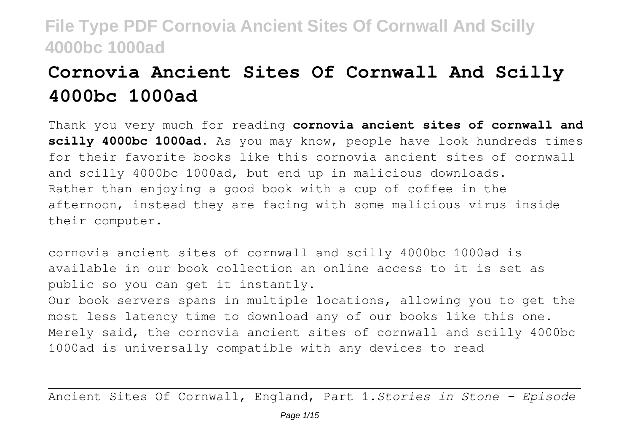# **Cornovia Ancient Sites Of Cornwall And Scilly 4000bc 1000ad**

Thank you very much for reading **cornovia ancient sites of cornwall and scilly 4000bc 1000ad**. As you may know, people have look hundreds times for their favorite books like this cornovia ancient sites of cornwall and scilly 4000bc 1000ad, but end up in malicious downloads. Rather than enjoying a good book with a cup of coffee in the afternoon, instead they are facing with some malicious virus inside their computer.

cornovia ancient sites of cornwall and scilly 4000bc 1000ad is available in our book collection an online access to it is set as public so you can get it instantly.

Our book servers spans in multiple locations, allowing you to get the most less latency time to download any of our books like this one. Merely said, the cornovia ancient sites of cornwall and scilly 4000bc 1000ad is universally compatible with any devices to read

Ancient Sites Of Cornwall, England, Part 1.*Stories in Stone - Episode*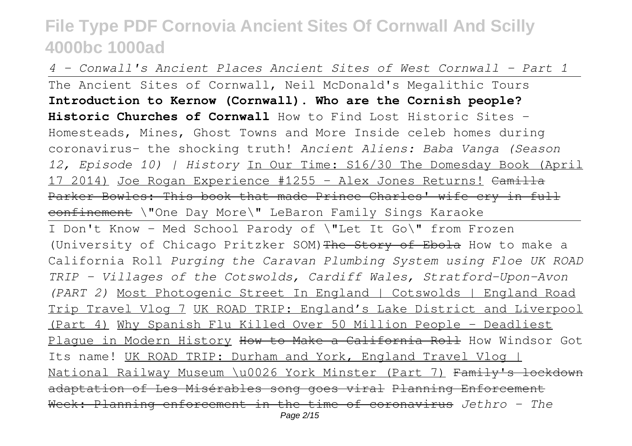*4 - Conwall's Ancient Places Ancient Sites of West Cornwall - Part 1* The Ancient Sites of Cornwall, Neil McDonald's Megalithic Tours **Introduction to Kernow (Cornwall). Who are the Cornish people? Historic Churches of Cornwall** How to Find Lost Historic Sites - Homesteads, Mines, Ghost Towns and More Inside celeb homes during coronavirus- the shocking truth! *Ancient Aliens: Baba Vanga (Season 12, Episode 10) | History* In Our Time: S16/30 The Domesday Book (April 17 2014) Joe Rogan Experience #1255 - Alex Jones Returns! Camilla Parker Bowles: This book that made Prince Charles' wife cry in full confinement \"One Day More\" LeBaron Family Sings Karaoke I Don't Know - Med School Parody of \"Let It Go\" from Frozen (University of Chicago Pritzker SOM) The Story of Ebola How to make a California Roll *Purging the Caravan Plumbing System using Floe UK ROAD TRIP – Villages of the Cotswolds, Cardiff Wales, Stratford-Upon-Avon (PART 2)* Most Photogenic Street In England | Cotswolds | England Road Trip Travel Vlog 7 UK ROAD TRIP: England's Lake District and Liverpool (Part 4) Why Spanish Flu Killed Over 50 Million People - Deadliest Plaque in Modern History How to Make a California Roll How Windsor Got Its name! UK ROAD TRIP: Durham and York, England Travel Vlog | National Railway Museum \u0026 York Minster (Part 7) Family's lockdown adaptation of Les Misérables song goes viral Planning Enforcement Week: Planning enforcement in the time of coronavirus *Jethro - The* Page 2/15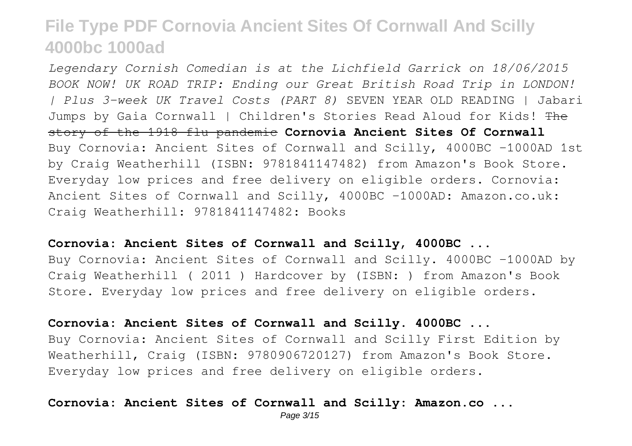*Legendary Cornish Comedian is at the Lichfield Garrick on 18/06/2015 BOOK NOW! UK ROAD TRIP: Ending our Great British Road Trip in LONDON! | Plus 3-week UK Travel Costs (PART 8)* SEVEN YEAR OLD READING | Jabari Jumps by Gaia Cornwall | Children's Stories Read Aloud for Kids! The story of the 1918 flu pandemic **Cornovia Ancient Sites Of Cornwall** Buy Cornovia: Ancient Sites of Cornwall and Scilly, 4000BC -1000AD 1st by Craig Weatherhill (ISBN: 9781841147482) from Amazon's Book Store. Everyday low prices and free delivery on eligible orders. Cornovia: Ancient Sites of Cornwall and Scilly, 4000BC -1000AD: Amazon.co.uk: Craig Weatherhill: 9781841147482: Books

#### **Cornovia: Ancient Sites of Cornwall and Scilly, 4000BC ...**

Buy Cornovia: Ancient Sites of Cornwall and Scilly. 4000BC -1000AD by Craig Weatherhill ( 2011 ) Hardcover by (ISBN: ) from Amazon's Book Store. Everyday low prices and free delivery on eligible orders.

#### **Cornovia: Ancient Sites of Cornwall and Scilly. 4000BC ...**

Buy Cornovia: Ancient Sites of Cornwall and Scilly First Edition by Weatherhill, Craig (ISBN: 9780906720127) from Amazon's Book Store. Everyday low prices and free delivery on eligible orders.

### **Cornovia: Ancient Sites of Cornwall and Scilly: Amazon.co ...**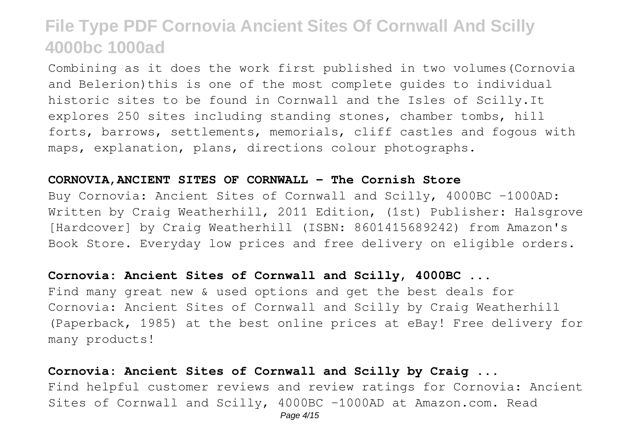Combining as it does the work first published in two volumes(Cornovia and Belerion)this is one of the most complete guides to individual historic sites to be found in Cornwall and the Isles of Scilly.It explores 250 sites including standing stones, chamber tombs, hill forts, barrows, settlements, memorials, cliff castles and fogous with maps, explanation, plans, directions colour photographs.

#### **CORNOVIA,ANCIENT SITES OF CORNWALL - The Cornish Store**

Buy Cornovia: Ancient Sites of Cornwall and Scilly, 4000BC -1000AD: Written by Craig Weatherhill, 2011 Edition, (1st) Publisher: Halsgrove [Hardcover] by Craig Weatherhill (ISBN: 8601415689242) from Amazon's Book Store. Everyday low prices and free delivery on eligible orders.

### **Cornovia: Ancient Sites of Cornwall and Scilly, 4000BC ...**

Find many great new & used options and get the best deals for Cornovia: Ancient Sites of Cornwall and Scilly by Craig Weatherhill (Paperback, 1985) at the best online prices at eBay! Free delivery for many products!

### **Cornovia: Ancient Sites of Cornwall and Scilly by Craig ...**

Find helpful customer reviews and review ratings for Cornovia: Ancient Sites of Cornwall and Scilly, 4000BC -1000AD at Amazon.com. Read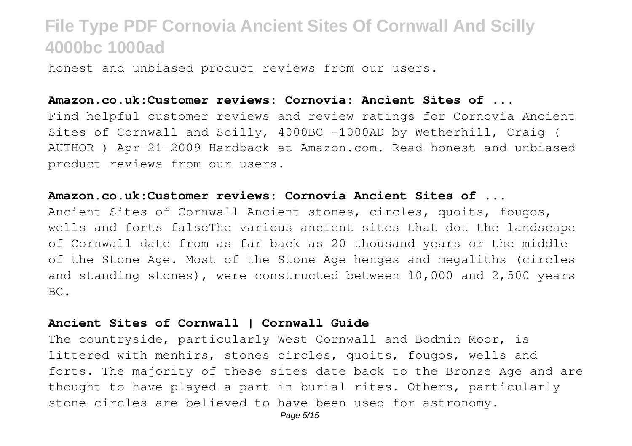honest and unbiased product reviews from our users.

#### **Amazon.co.uk:Customer reviews: Cornovia: Ancient Sites of ...**

Find helpful customer reviews and review ratings for Cornovia Ancient Sites of Cornwall and Scilly, 4000BC -1000AD by Wetherhill, Craig ( AUTHOR ) Apr-21-2009 Hardback at Amazon.com. Read honest and unbiased product reviews from our users.

### **Amazon.co.uk:Customer reviews: Cornovia Ancient Sites of ...**

Ancient Sites of Cornwall Ancient stones, circles, quoits, fougos, wells and forts falseThe various ancient sites that dot the landscape of Cornwall date from as far back as 20 thousand years or the middle of the Stone Age. Most of the Stone Age henges and megaliths (circles and standing stones), were constructed between 10,000 and 2,500 years BC.

### **Ancient Sites of Cornwall | Cornwall Guide**

The countryside, particularly West Cornwall and Bodmin Moor, is littered with menhirs, stones circles, quoits, fougos, wells and forts. The majority of these sites date back to the Bronze Age and are thought to have played a part in burial rites. Others, particularly stone circles are believed to have been used for astronomy.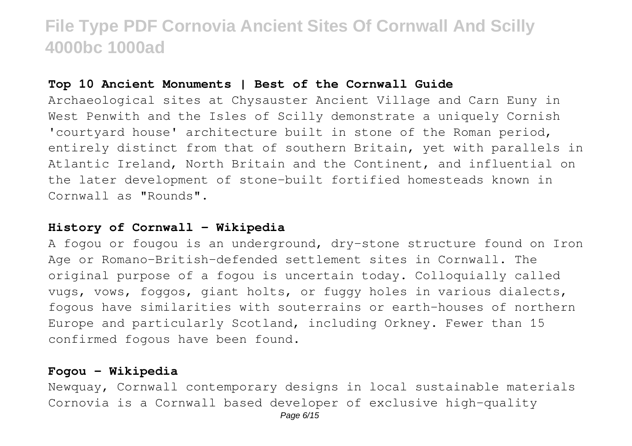### **Top 10 Ancient Monuments | Best of the Cornwall Guide**

Archaeological sites at Chysauster Ancient Village and Carn Euny in West Penwith and the Isles of Scilly demonstrate a uniquely Cornish 'courtyard house' architecture built in stone of the Roman period, entirely distinct from that of southern Britain, yet with parallels in Atlantic Ireland, North Britain and the Continent, and influential on the later development of stone-built fortified homesteads known in Cornwall as "Rounds".

### **History of Cornwall - Wikipedia**

A fogou or fougou is an underground, dry-stone structure found on Iron Age or Romano-British-defended settlement sites in Cornwall. The original purpose of a fogou is uncertain today. Colloquially called vugs, vows, foggos, giant holts, or fuggy holes in various dialects, fogous have similarities with souterrains or earth-houses of northern Europe and particularly Scotland, including Orkney. Fewer than 15 confirmed fogous have been found.

### **Fogou - Wikipedia**

Newquay, Cornwall contemporary designs in local sustainable materials Cornovia is a Cornwall based developer of exclusive high-quality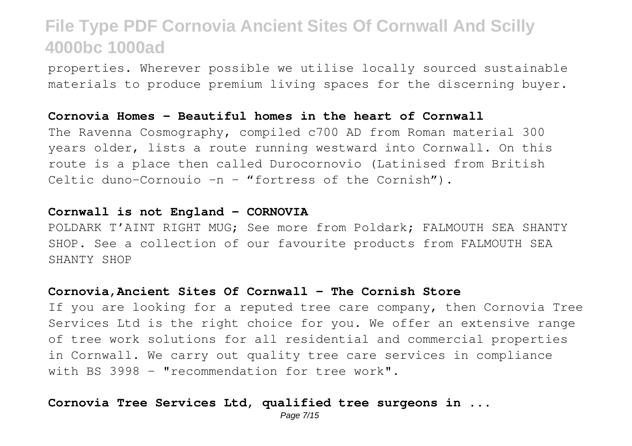properties. Wherever possible we utilise locally sourced sustainable materials to produce premium living spaces for the discerning buyer.

#### **Cornovia Homes – Beautiful homes in the heart of Cornwall**

The Ravenna Cosmography, compiled c700 AD from Roman material 300 years older, lists a route running westward into Cornwall. On this route is a place then called Durocornovio (Latinised from British Celtic duno-Cornouio -n – "fortress of the Cornish").

### **Cornwall is not England – CORNOVIA**

POLDARK T'AINT RIGHT MUG; See more from Poldark; FALMOUTH SEA SHANTY SHOP. See a collection of our favourite products from FALMOUTH SEA SHANTY SHOP

#### **Cornovia,Ancient Sites Of Cornwall - The Cornish Store**

If you are looking for a reputed tree care company, then Cornovia Tree Services Ltd is the right choice for you. We offer an extensive range of tree work solutions for all residential and commercial properties in Cornwall. We carry out quality tree care services in compliance with BS 3998 - "recommendation for tree work".

### **Cornovia Tree Services Ltd, qualified tree surgeons in ...**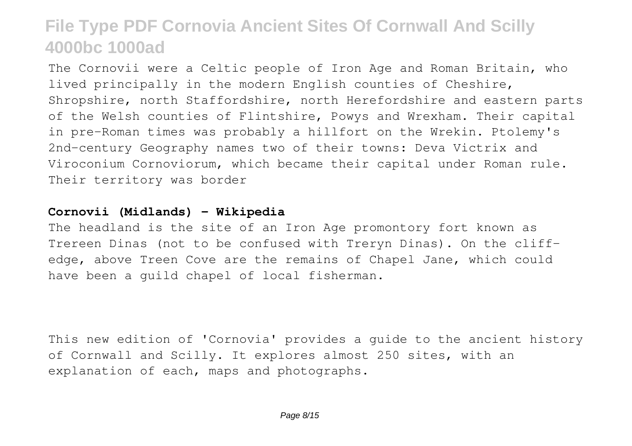The Cornovii were a Celtic people of Iron Age and Roman Britain, who lived principally in the modern English counties of Cheshire, Shropshire, north Staffordshire, north Herefordshire and eastern parts of the Welsh counties of Flintshire, Powys and Wrexham. Their capital in pre-Roman times was probably a hillfort on the Wrekin. Ptolemy's 2nd-century Geography names two of their towns: Deva Victrix and Viroconium Cornoviorum, which became their capital under Roman rule. Their territory was border

### **Cornovii (Midlands) - Wikipedia**

The headland is the site of an Iron Age promontory fort known as Trereen Dinas (not to be confused with Treryn Dinas). On the cliffedge, above Treen Cove are the remains of Chapel Jane, which could have been a guild chapel of local fisherman.

This new edition of 'Cornovia' provides a guide to the ancient history of Cornwall and Scilly. It explores almost 250 sites, with an explanation of each, maps and photographs.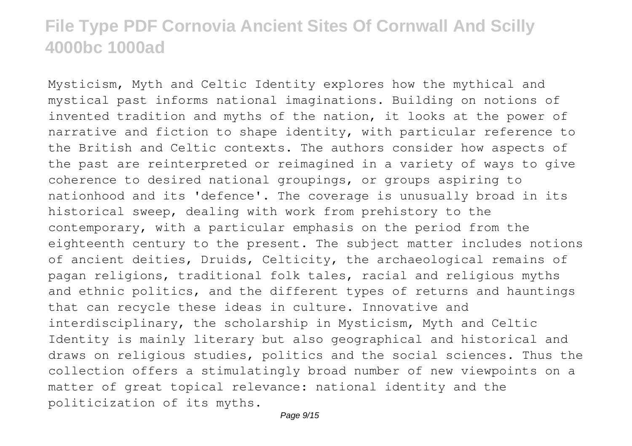Mysticism, Myth and Celtic Identity explores how the mythical and mystical past informs national imaginations. Building on notions of invented tradition and myths of the nation, it looks at the power of narrative and fiction to shape identity, with particular reference to the British and Celtic contexts. The authors consider how aspects of the past are reinterpreted or reimagined in a variety of ways to give coherence to desired national groupings, or groups aspiring to nationhood and its 'defence'. The coverage is unusually broad in its historical sweep, dealing with work from prehistory to the contemporary, with a particular emphasis on the period from the eighteenth century to the present. The subject matter includes notions of ancient deities, Druids, Celticity, the archaeological remains of pagan religions, traditional folk tales, racial and religious myths and ethnic politics, and the different types of returns and hauntings that can recycle these ideas in culture. Innovative and interdisciplinary, the scholarship in Mysticism, Myth and Celtic Identity is mainly literary but also geographical and historical and draws on religious studies, politics and the social sciences. Thus the collection offers a stimulatingly broad number of new viewpoints on a matter of great topical relevance: national identity and the politicization of its myths.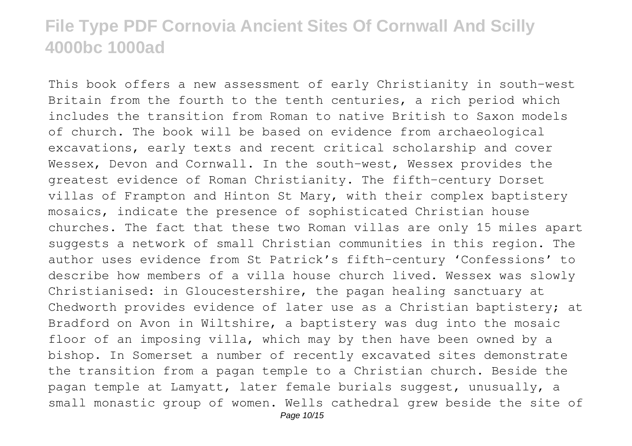This book offers a new assessment of early Christianity in south-west Britain from the fourth to the tenth centuries, a rich period which includes the transition from Roman to native British to Saxon models of church. The book will be based on evidence from archaeological excavations, early texts and recent critical scholarship and cover Wessex, Devon and Cornwall. In the south-west, Wessex provides the greatest evidence of Roman Christianity. The fifth-century Dorset villas of Frampton and Hinton St Mary, with their complex baptistery mosaics, indicate the presence of sophisticated Christian house churches. The fact that these two Roman villas are only 15 miles apart suggests a network of small Christian communities in this region. The author uses evidence from St Patrick's fifth-century 'Confessions' to describe how members of a villa house church lived. Wessex was slowly Christianised: in Gloucestershire, the pagan healing sanctuary at Chedworth provides evidence of later use as a Christian baptistery; at Bradford on Avon in Wiltshire, a baptistery was dug into the mosaic floor of an imposing villa, which may by then have been owned by a bishop. In Somerset a number of recently excavated sites demonstrate the transition from a pagan temple to a Christian church. Beside the pagan temple at Lamyatt, later female burials suggest, unusually, a small monastic group of women. Wells cathedral grew beside the site of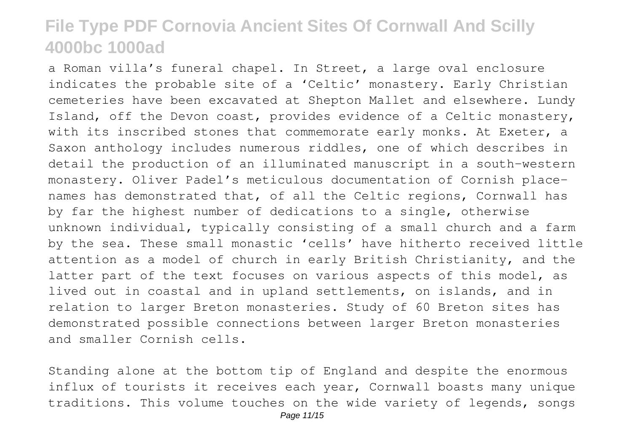a Roman villa's funeral chapel. In Street, a large oval enclosure indicates the probable site of a 'Celtic' monastery. Early Christian cemeteries have been excavated at Shepton Mallet and elsewhere. Lundy Island, off the Devon coast, provides evidence of a Celtic monastery, with its inscribed stones that commemorate early monks. At Exeter, a Saxon anthology includes numerous riddles, one of which describes in detail the production of an illuminated manuscript in a south-western monastery. Oliver Padel's meticulous documentation of Cornish placenames has demonstrated that, of all the Celtic regions, Cornwall has by far the highest number of dedications to a single, otherwise unknown individual, typically consisting of a small church and a farm by the sea. These small monastic 'cells' have hitherto received little attention as a model of church in early British Christianity, and the latter part of the text focuses on various aspects of this model, as lived out in coastal and in upland settlements, on islands, and in relation to larger Breton monasteries. Study of 60 Breton sites has demonstrated possible connections between larger Breton monasteries and smaller Cornish cells.

Standing alone at the bottom tip of England and despite the enormous influx of tourists it receives each year, Cornwall boasts many unique traditions. This volume touches on the wide variety of legends, songs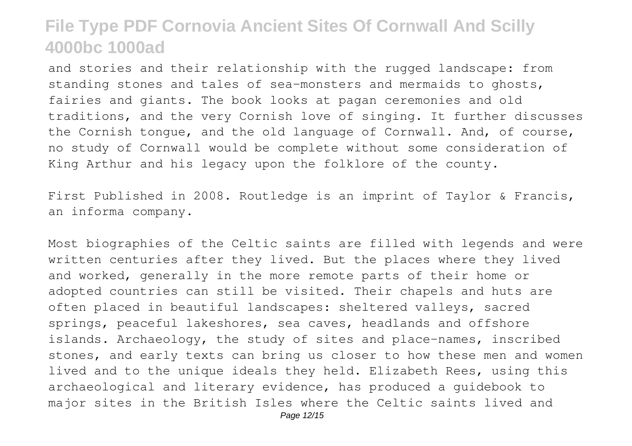and stories and their relationship with the rugged landscape: from standing stones and tales of sea-monsters and mermaids to ghosts, fairies and giants. The book looks at pagan ceremonies and old traditions, and the very Cornish love of singing. It further discusses the Cornish tongue, and the old language of Cornwall. And, of course, no study of Cornwall would be complete without some consideration of King Arthur and his legacy upon the folklore of the county.

First Published in 2008. Routledge is an imprint of Taylor & Francis, an informa company.

Most biographies of the Celtic saints are filled with legends and were written centuries after they lived. But the places where they lived and worked, generally in the more remote parts of their home or adopted countries can still be visited. Their chapels and huts are often placed in beautiful landscapes: sheltered valleys, sacred springs, peaceful lakeshores, sea caves, headlands and offshore islands. Archaeology, the study of sites and place-names, inscribed stones, and early texts can bring us closer to how these men and women lived and to the unique ideals they held. Elizabeth Rees, using this archaeological and literary evidence, has produced a guidebook to major sites in the British Isles where the Celtic saints lived and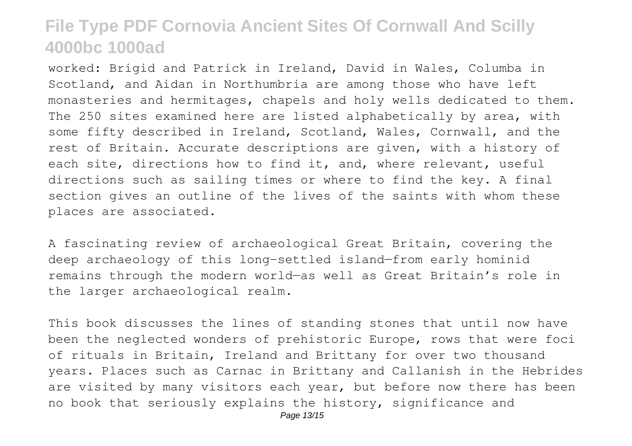worked: Brigid and Patrick in Ireland, David in Wales, Columba in Scotland, and Aidan in Northumbria are among those who have left monasteries and hermitages, chapels and holy wells dedicated to them. The 250 sites examined here are listed alphabetically by area, with some fifty described in Ireland, Scotland, Wales, Cornwall, and the rest of Britain. Accurate descriptions are given, with a history of each site, directions how to find it, and, where relevant, useful directions such as sailing times or where to find the key. A final section gives an outline of the lives of the saints with whom these places are associated.

A fascinating review of archaeological Great Britain, covering the deep archaeology of this long-settled island—from early hominid remains through the modern world—as well as Great Britain's role in the larger archaeological realm.

This book discusses the lines of standing stones that until now have been the neglected wonders of prehistoric Europe, rows that were foci of rituals in Britain, Ireland and Brittany for over two thousand years. Places such as Carnac in Brittany and Callanish in the Hebrides are visited by many visitors each year, but before now there has been no book that seriously explains the history, significance and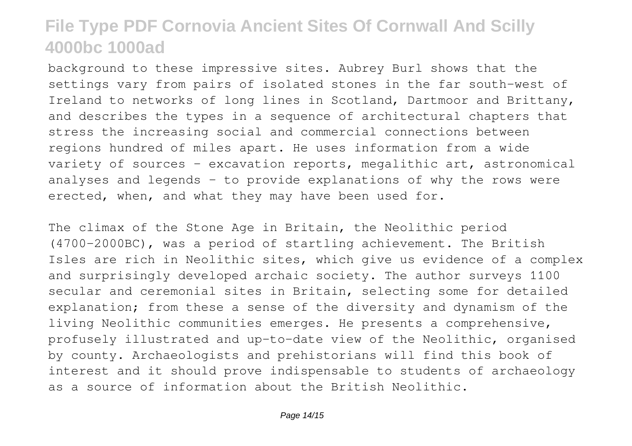background to these impressive sites. Aubrey Burl shows that the settings vary from pairs of isolated stones in the far south-west of Ireland to networks of long lines in Scotland, Dartmoor and Brittany, and describes the types in a sequence of architectural chapters that stress the increasing social and commercial connections between regions hundred of miles apart. He uses information from a wide variety of sources - excavation reports, megalithic art, astronomical analyses and legends - to provide explanations of why the rows were erected, when, and what they may have been used for.

The climax of the Stone Age in Britain, the Neolithic period (4700-2000BC), was a period of startling achievement. The British Isles are rich in Neolithic sites, which give us evidence of a complex and surprisingly developed archaic society. The author surveys 1100 secular and ceremonial sites in Britain, selecting some for detailed explanation; from these a sense of the diversity and dynamism of the living Neolithic communities emerges. He presents a comprehensive, profusely illustrated and up-to-date view of the Neolithic, organised by county. Archaeologists and prehistorians will find this book of interest and it should prove indispensable to students of archaeology as a source of information about the British Neolithic.